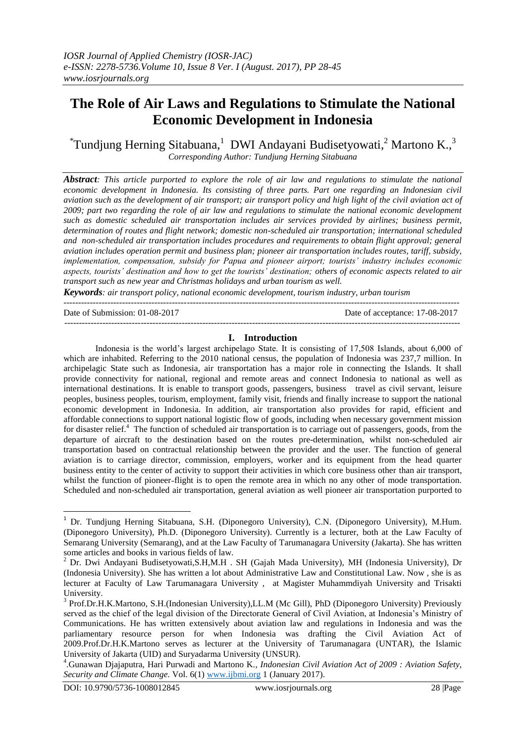# **The Role of Air Laws and Regulations to Stimulate the National Economic Development in Indonesia**

 $\textsuperscript{*}$ Tundjung Herning Sitabuana, 1DWI Andayani Budisetyowati, 2 Martono K., 3 *Corresponding Author: Tundjung Herning Sitabuana*

*Abstract: This article purported to explore the role of air law and regulations to stimulate the national economic development in Indonesia. Its consisting of three parts. Part one regarding an Indonesian civil aviation such as the development of air transport; air transport policy and high light of the civil aviation act of 2009; part two regarding the role of air law and regulations to stimulate the national economic development such as domestic scheduled air transportation includes air services provided by airlines; business permit, determination of routes and flight network; domestic non-scheduled air transportation; international scheduled and non-scheduled air transportation includes procedures and requirements to obtain flight approval; general aviation includes operation permit and business plan; pioneer air transportation includes routes, tariff, subsidy, implementation, compensation, subsidy for Papua and pioneer airport; tourists' industry includes economic aspects, tourists' destination and how to get the tourists' destination; others of economic aspects related to air transport such as new year and Christmas holidays and urban tourism as well.*

*Keywords: air transport policy, national economic development, tourism industry, urban tourism*

Date of Submission: 01-08-2017 Date of acceptance: 17-08-2017

#### **I. Introduction**

---------------------------------------------------------------------------------------------------------------------------------------

---------------------------------------------------------------------------------------------------------------------------------------

Indonesia is the world's largest archipelago State. It is consisting of 17,508 Islands, about 6,000 of which are inhabited. Referring to the 2010 national census, the population of Indonesia was 237,7 million. In archipelagic State such as Indonesia, air transportation has a major role in connecting the Islands. It shall provide connectivity for national, regional and remote areas and connect Indonesia to national as well as international destinations. It is enable to transport goods, passengers, business travel as civil servant, leisure peoples, business peoples, tourism, employment, family visit, friends and finally increase to support the national economic development in Indonesia. In addition, air transportation also provides for rapid, efficient and affordable connections to support national logistic flow of goods, including when necessary government mission for disaster relief.<sup>4</sup> The function of scheduled air transportation is to carriage out of passengers, goods, from the departure of aircraft to the destination based on the routes pre-determination, whilst non-scheduled air transportation based on contractual relationship between the provider and the user. The function of general aviation is to carriage director, commission, employers, worker and its equipment from the head quarter business entity to the center of activity to support their activities in which core business other than air transport, whilst the function of pioneer-flight is to open the remote area in which no any other of mode transportation. Scheduled and non-scheduled air transportation, general aviation as well pioneer air transportation purported to

<sup>&</sup>lt;sup>1</sup> Dr. Tundjung Herning Sitabuana, S.H. (Diponegoro University), C.N. (Diponegoro University), M.Hum. (Diponegoro University), Ph.D. (Diponegoro University). Currently is a lecturer, both at the Law Faculty of Semarang University (Semarang), and at the Law Faculty of Tarumanagara University (Jakarta). She has written some articles and books in various fields of law.

<sup>&</sup>lt;sup>2</sup> Dr. Dwi Andayani Budisetyowati,S.H,M.H . SH (Gajah Mada University), MH (Indonesia University), Dr (Indonesia University). She has written a lot about Administrative Law and Constitutional Law. Now , she is as lecturer at Faculty of Law Tarumanagara University , at Magister Muhammdiyah University and Trisakti University.

<sup>&</sup>lt;sup>3</sup> Prof.Dr.H.K.Martono, S.H.(Indonesian University),LL.M (Mc Gill), PhD (Diponegoro University) Previously served as the chief of the legal division of the Directorate General of Civil Aviation, at Indonesia's Ministry of Communications. He has written extensively about aviation law and regulations in Indonesia and was the parliamentary resource person for when Indonesia was drafting the Civil Aviation Act of 2009.Prof.Dr.H.K.Martono serves as lecturer at the University of Tarumanagara (UNTAR), the Islamic University of Jakarta (UID) and Suryadarma University (UNSUR).

<sup>4</sup> .Gunawan Djajaputra, Hari Purwadi and Martono K*., Indonesian Civil Aviation Act of 2009 : Aviation Safety, Security and Climate Change.* Vol. 6(1) [www.ijbmi.org](http://www.ijbmi.org/) 1 (January 2017).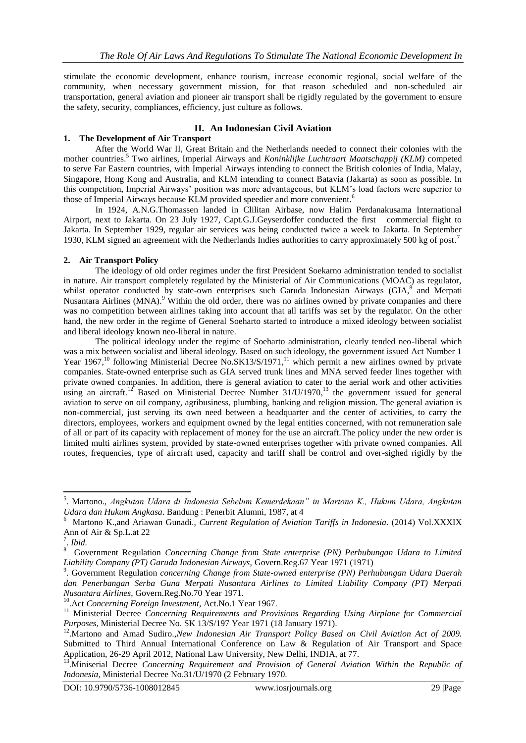stimulate the economic development, enhance tourism, increase economic regional, social welfare of the community, when necessary government mission, for that reason scheduled and non-scheduled air transportation, general aviation and pioneer air transport shall be rigidly regulated by the government to ensure the safety, security, compliances, efficiency, just culture as follows.

# **II. An Indonesian Civil Aviation**

# **1. The Development of Air Transport**

After the World War II, Great Britain and the Netherlands needed to connect their colonies with the mother countries. <sup>5</sup> Two airlines, Imperial Airways and *Koninklijke Luchtraart Maatschappij (KLM)* competed to serve Far Eastern countries, with Imperial Airways intending to connect the British colonies of India, Malay, Singapore, Hong Kong and Australia, and KLM intending to connect Batavia (Jakarta) as soon as possible. In this competition, Imperial Airways' position was more advantageous, but KLM's load factors were superior to those of Imperial Airways because KLM provided speedier and more convenient. 6

In 1924, A.N.G.Thomassen landed in Clilitan Airbase, now Halim Perdanakusama International Airport, next to Jakarta. On 23 July 1927, Capt.G.J.Geyserdoffer conducted the first commercial flight to Jakarta. In September 1929, regular air services was being conducted twice a week to Jakarta. In September 1930, KLM signed an agreement with the Netherlands Indies authorities to carry approximately 500 kg of post.<sup>7</sup>

# **2. Air Transport Policy**

The ideology of old order regimes under the first President Soekarno administration tended to socialist in nature. Air transport completely regulated by the Ministerial of Air Communications (MOAC) as regulator, whilst operator conducted by state-own enterprises such Garuda Indonesian Airways (GIA,<sup>8</sup> and Merpati Nusantara Airlines (MNA).<sup>9</sup> Within the old order, there was no airlines owned by private companies and there was no competition between airlines taking into account that all tariffs was set by the regulator. On the other hand, the new order in the regime of General Soeharto started to introduce a mixed ideology between socialist and liberal ideology known neo-liberal in nature.

The political ideology under the regime of Soeharto administration, clearly tended neo-liberal which was a mix between socialist and liberal ideology. Based on such ideology, the government issued Act Number 1 Year 1967,<sup>10</sup> following Ministerial Decree No.SK13/S/1971,<sup>11</sup> which permit a new airlines owned by private companies. State-owned enterprise such as GIA served trunk lines and MNA served feeder lines together with private owned companies. In addition, there is general aviation to cater to the aerial work and other activities using an aircraft.<sup>12</sup> Based on Ministerial Decree Number  $31/U/1970$ ,<sup>13</sup> the government issued for general aviation to serve on oil company, agribusiness, plumbing, banking and religion mission. The general aviation is non-commercial, just serving its own need between a headquarter and the center of activities, to carry the directors, employees, workers and equipment owned by the legal entities concerned, with not remuneration sale of all or part of its capacity with replacement of money for the use an aircraft.The policy under the new order is limited multi airlines system, provided by state-owned enterprises together with private owned companies. All routes, frequencies, type of aircraft used, capacity and tariff shall be control and over-sighed rigidly by the

<sup>5</sup> . Martono., *Angkutan Udara di Indonesia Sebelum Kemerdekaan" in Martono K., Hukum Udara, Angkutan Udara dan Hukum Angkasa*. Bandung : Penerbit Alumni, 1987, at 4

<sup>6</sup> Martono K.,and Ariawan Gunadi., *Current Regulation of Aviation Tariffs in Indonesia*. (2014) Vol.XXXIX Ann of Air & Sp.L.at 22

 $\frac{7}{8}$ . *Ibid.* 

Government Regulation *Concerning Change from State enterprise (PN) Perhubungan Udara to Limited Liability Company (PT) Garuda Indonesian Airways,* Govern.Reg.67 Year 1971 (1971)

<sup>9</sup> . Government Regulation *concerning Change from State-owned enterprise (PN) Perhubungan Udara Daerah dan Penerbangan Serba Guna Merpati Nusantara Airlines to Limited Liability Company (PT) Merpati Nusantara Airlines*, Govern.Reg.No.70 Year 1971.

<sup>10</sup>.Act *Concerning Foreign Investment*, Act.No.1 Year 1967.

<sup>&</sup>lt;sup>11</sup> Ministerial Decree *Concerning Requirements and Provisions Regarding Using Airplane for Commercial Purposes,* Ministerial Decree No. SK 13/S/197 Year 1971 (18 January 1971).

<sup>&</sup>lt;sup>12</sup>. Martono and Amad Sudiro.,*New Indonesian Air Transport Policy Based on Civil Aviation Act of 2009.* Submitted to Third Annual International Conference on Law & Regulation of Air Transport and Space Application, 26-29 April 2012, National Law University, New Delhi, INDIA, at 77.

<sup>13</sup>.Miniserial Decree *Concerning Requirement and Provision of General Aviation Within the Republic of Indonesia*, Ministerial Decree No.31/U/1970 (2 February 1970.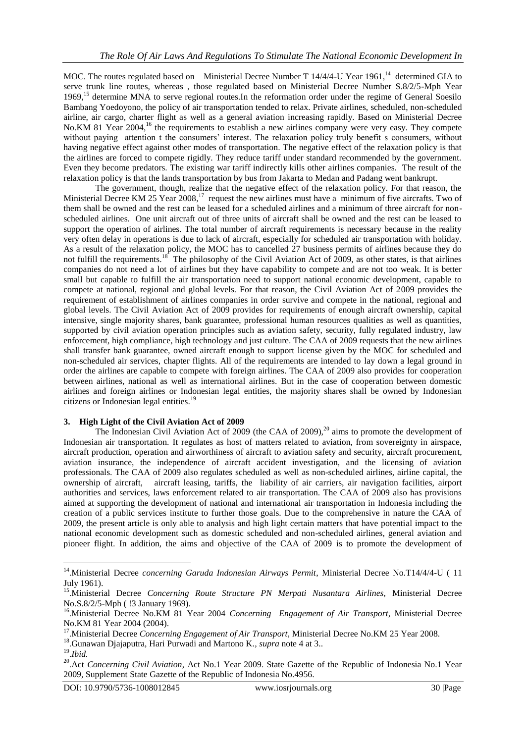MOC. The routes regulated based on Ministerial Decree Number T 14/4/4-U Year 1961,<sup>14</sup> determined GIA to serve trunk line routes, whereas , those regulated based on Ministerial Decree Number S.8/2/5-Mph Year 1969,<sup>15</sup> determine MNA to serve regional routes.In the reformation order under the regime of General Soesilo Bambang Yoedoyono, the policy of air transportation tended to relax. Private airlines, scheduled, non-scheduled airline, air cargo, charter flight as well as a general aviation increasing rapidly. Based on Ministerial Decree No. KM 81 Year 2004,<sup>16</sup> the requirements to establish a new airlines company were very easy. They compete without paying attention t the consumers' interest. The relaxation policy truly benefit s consumers, without having negative effect against other modes of transportation. The negative effect of the relaxation policy is that the airlines are forced to compete rigidly. They reduce tariff under standard recommended by the government. Even they become predators. The existing war tariff indirectly kills other airlines companies. The result of the relaxation policy is that the lands transportation by bus from Jakarta to Medan and Padang went bankrupt.

The government, though, realize that the negative effect of the relaxation policy. For that reason, the Ministerial Decree KM 25 Year 2008,<sup>17</sup> request the new airlines must have a minimum of five aircrafts. Two of them shall be owned and the rest can be leased for a scheduled airlines and a minimum of three aircraft for nonscheduled airlines. One unit aircraft out of three units of aircraft shall be owned and the rest can be leased to support the operation of airlines. The total number of aircraft requirements is necessary because in the reality very often delay in operations is due to lack of aircraft, especially for scheduled air transportation with holiday. As a result of the relaxation policy, the MOC has to cancelled 27 business permits of airlines because they do not fulfill the requirements.<sup>18</sup> The philosophy of the Civil Aviation Act of  $2009$ , as other states, is that airlines companies do not need a lot of airlines but they have capability to compete and are not too weak. It is better small but capable to fulfill the air transportation need to support national economic development, capable to compete at national, regional and global levels. For that reason, the Civil Aviation Act of 2009 provides the requirement of establishment of airlines companies in order survive and compete in the national, regional and global levels. The Civil Aviation Act of 2009 provides for requirements of enough aircraft ownership, capital intensive, single majority shares, bank guarantee, professional human resources qualities as well as quantities, supported by civil aviation operation principles such as aviation safety, security, fully regulated industry, law enforcement, high compliance, high technology and just culture. The CAA of 2009 requests that the new airlines shall transfer bank guarantee, owned aircraft enough to support license given by the MOC for scheduled and non-scheduled air services, chapter flights. All of the requirements are intended to lay down a legal ground in order the airlines are capable to compete with foreign airlines. The CAA of 2009 also provides for cooperation between airlines, national as well as international airlines. But in the case of cooperation between domestic airlines and foreign airlines or Indonesian legal entities, the majority shares shall be owned by Indonesian citizens or Indonesian legal entities.<sup>19</sup>

#### **3. High Light of the Civil Aviation Act of 2009**

The Indonesian Civil Aviation Act of 2009 (the CAA of 2009),<sup>20</sup> aims to promote the development of Indonesian air transportation. It regulates as host of matters related to aviation, from sovereignty in airspace, aircraft production, operation and airworthiness of aircraft to aviation safety and security, aircraft procurement, aviation insurance, the independence of aircraft accident investigation, and the licensing of aviation professionals. The CAA of 2009 also regulates scheduled as well as non-scheduled airlines, airline capital, the ownership of aircraft, aircraft leasing, tariffs, the liability of air carriers, air navigation facilities, airport authorities and services, laws enforcement related to air transportation. The CAA of 2009 also has provisions aimed at supporting the development of national and international air transportation in Indonesia including the creation of a public services institute to further those goals. Due to the comprehensive in nature the CAA of 2009, the present article is only able to analysis and high light certain matters that have potential impact to the national economic development such as domestic scheduled and non-scheduled airlines, general aviation and pioneer flight. In addition, the aims and objective of the CAA of 2009 is to promote the development of

 14 .Ministerial Decree *concerning Garuda Indonesian Airways Permit*, Ministerial Decree No.T14/4/4-U ( 11 July 1961).

<sup>15</sup>.Ministerial Decree *Concerning Route Structure PN Merpati Nusantara Airlines,* Ministerial Decree No.S.8/2/5-Mph ( !3 January 1969).

<sup>&</sup>lt;sup>16</sup>. Ministerial Decree No.KM 81 Year 2004 *Concerning Engagement of Air Transport*, Ministerial Decree No.KM 81 Year 2004 (2004).

<sup>17</sup>.Ministerial Decree *Concerning Engagement of Air Transport*, Ministerial Decree No.KM 25 Year 2008.

<sup>18</sup>.Gunawan Djajaputra, Hari Purwadi and Martono K*., supra* note 4 at 3..

<sup>19</sup> .*Ibid.*

<sup>&</sup>lt;sup>20</sup>. Act *Concerning Civil Aviation*, Act No.1 Year 2009. State Gazette of the Republic of Indonesia No.1 Year 2009, Supplement State Gazette of the Republic of Indonesia No.4956.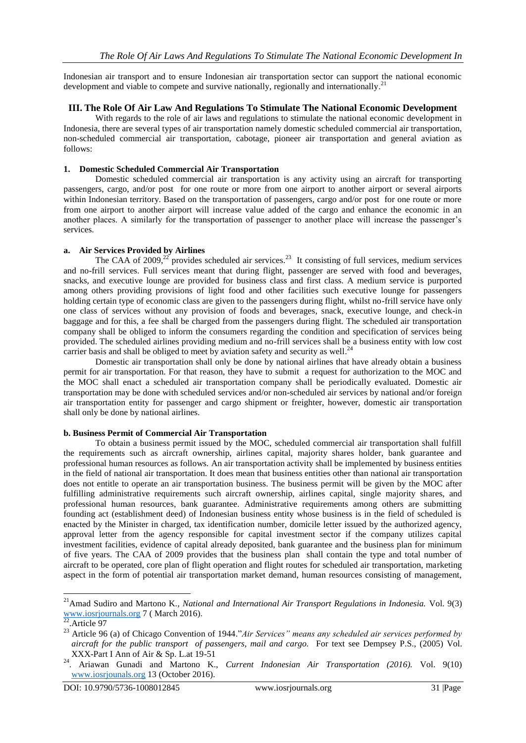Indonesian air transport and to ensure Indonesian air transportation sector can support the national economic development and viable to compete and survive nationally, regionally and internationally.<sup>21</sup>

### **III. The Role Of Air Law And Regulations To Stimulate The National Economic Development**

With regards to the role of air laws and regulations to stimulate the national economic development in Indonesia, there are several types of air transportation namely domestic scheduled commercial air transportation, non-scheduled commercial air transportation, cabotage, pioneer air transportation and general aviation as follows:

### **1. Domestic Scheduled Commercial Air Transportation**

Domestic scheduled commercial air transportation is any activity using an aircraft for transporting passengers, cargo, and/or post for one route or more from one airport to another airport or several airports within Indonesian territory. Based on the transportation of passengers, cargo and/or post for one route or more from one airport to another airport will increase value added of the cargo and enhance the economic in an another places. A similarly for the transportation of passenger to another place will increase the passenger's services.

### **a. Air Services Provided by Airlines**

The CAA of 2009, $^{22}$  provides scheduled air services.<sup>23</sup> It consisting of full services, medium services and no-frill services. Full services meant that during flight, passenger are served with food and beverages, snacks, and executive lounge are provided for business class and first class. A medium service is purported among others providing provisions of light food and other facilities such executive lounge for passengers holding certain type of economic class are given to the passengers during flight, whilst no-frill service have only one class of services without any provision of foods and beverages, snack, executive lounge, and check-in baggage and for this, a fee shall be charged from the passengers during flight. The scheduled air transportation company shall be obliged to inform the consumers regarding the condition and specification of services being provided. The scheduled airlines providing medium and no-frill services shall be a business entity with low cost carrier basis and shall be obliged to meet by aviation safety and security as well.<sup>24</sup>

Domestic air transportation shall only be done by national airlines that have already obtain a business permit for air transportation. For that reason, they have to submit a request for authorization to the MOC and the MOC shall enact a scheduled air transportation company shall be periodically evaluated. Domestic air transportation may be done with scheduled services and/or non-scheduled air services by national and/or foreign air transportation entity for passenger and cargo shipment or freighter, however, domestic air transportation shall only be done by national airlines.

#### **b. Business Permit of Commercial Air Transportation**

To obtain a business permit issued by the MOC, scheduled commercial air transportation shall fulfill the requirements such as aircraft ownership, airlines capital, majority shares holder, bank guarantee and professional human resources as follows. An air transportation activity shall be implemented by business entities in the field of national air transportation. It does mean that business entities other than national air transportation does not entitle to operate an air transportation business. The business permit will be given by the MOC after fulfilling administrative requirements such aircraft ownership, airlines capital, single majority shares, and professional human resources, bank guarantee. Administrative requirements among others are submitting founding act (establishment deed) of Indonesian business entity whose business is in the field of scheduled is enacted by the Minister in charged, tax identification number, domicile letter issued by the authorized agency, approval letter from the agency responsible for capital investment sector if the company utilizes capital investment facilities, evidence of capital already deposited, bank guarantee and the business plan for minimum of five years. The CAA of 2009 provides that the business plan shall contain the type and total number of aircraft to be operated, core plan of flight operation and flight routes for scheduled air transportation, marketing aspect in the form of potential air transportation market demand, human resources consisting of management,

<sup>21</sup>Amad Sudiro and Martono K., *National and International Air Transport Regulations in Indonesia.* Vol. 9(3) [www.iosrjournals.org](http://www.iosrjournals.org/) 7 ( March 2016).

 $22$ . Article 97

<sup>23</sup> Article 96 (a) of Chicago Convention of 1944."*Air Services" means any scheduled air services performed by aircraft for the public transport of passengers, mail and cargo.* For text see Dempsey P.S., (2005) Vol. XXX-Part I Ann of Air & Sp. L.at 19-51

<sup>24</sup>. Ariawan Gunadi and Martono K., *Current Indonesian Air Transportation (2016).* Vol. 9(10) [www.iosrjounals.org](http://www.iosrjounals.org/) 13 (October 2016).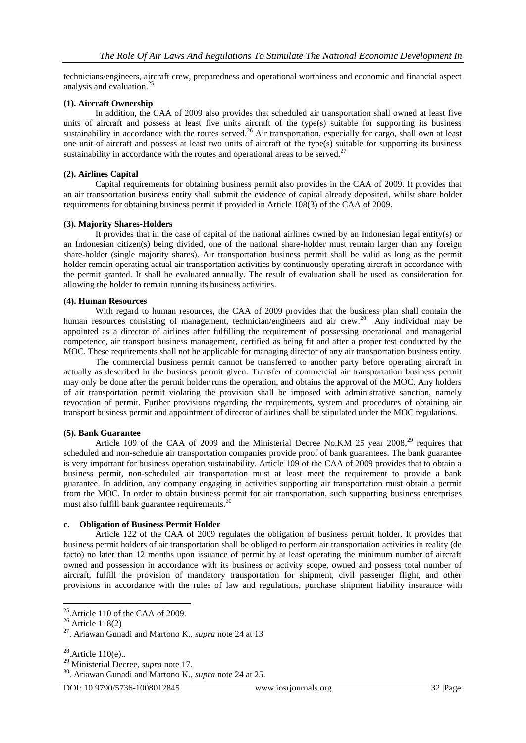technicians/engineers, aircraft crew, preparedness and operational worthiness and economic and financial aspect analysis and evaluation. 25

### **(1). Aircraft Ownership**

In addition, the CAA of 2009 also provides that scheduled air transportation shall owned at least five units of aircraft and possess at least five units aircraft of the type(s) suitable for supporting its business sustainability in accordance with the routes served.<sup>26</sup> Air transportation, especially for cargo, shall own at least one unit of aircraft and possess at least two units of aircraft of the type(s) suitable for supporting its business sustainability in accordance with the routes and operational areas to be served.<sup>27</sup>

### **(2). Airlines Capital**

Capital requirements for obtaining business permit also provides in the CAA of 2009. It provides that an air transportation business entity shall submit the evidence of capital already deposited, whilst share holder requirements for obtaining business permit if provided in Article 108(3) of the CAA of 2009.

#### **(3). Majority Shares-Holders**

It provides that in the case of capital of the national airlines owned by an Indonesian legal entity(s) or an Indonesian citizen(s) being divided, one of the national share-holder must remain larger than any foreign share-holder (single majority shares). Air transportation business permit shall be valid as long as the permit holder remain operating actual air transportation activities by continuously operating aircraft in accordance with the permit granted. It shall be evaluated annually. The result of evaluation shall be used as consideration for allowing the holder to remain running its business activities.

### **(4). Human Resources**

With regard to human resources, the CAA of 2009 provides that the business plan shall contain the human resources consisting of management, technician/engineers and air crew.<sup>28</sup> Any individual may be appointed as a director of airlines after fulfilling the requirement of possessing operational and managerial competence, air transport business management, certified as being fit and after a proper test conducted by the MOC. These requirements shall not be applicable for managing director of any air transportation business entity.

The commercial business permit cannot be transferred to another party before operating aircraft in actually as described in the business permit given. Transfer of commercial air transportation business permit may only be done after the permit holder runs the operation, and obtains the approval of the MOC. Any holders of air transportation permit violating the provision shall be imposed with administrative sanction, namely revocation of permit. Further provisions regarding the requirements, system and procedures of obtaining air transport business permit and appointment of director of airlines shall be stipulated under the MOC regulations.

#### **(5). Bank Guarantee**

Article 109 of the CAA of 2009 and the Ministerial Decree No.KM 25 year  $2008$ ,  $29$  requires that scheduled and non-schedule air transportation companies provide proof of bank guarantees. The bank guarantee is very important for business operation sustainability. Article 109 of the CAA of 2009 provides that to obtain a business permit, non-scheduled air transportation must at least meet the requirement to provide a bank guarantee. In addition, any company engaging in activities supporting air transportation must obtain a permit from the MOC. In order to obtain business permit for air transportation, such supporting business enterprises must also fulfill bank guarantee requirements.<sup>30</sup>

#### **c. Obligation of Business Permit Holder**

Article 122 of the CAA of 2009 regulates the obligation of business permit holder. It provides that business permit holders of air transportation shall be obliged to perform air transportation activities in reality (de facto) no later than 12 months upon issuance of permit by at least operating the minimum number of aircraft owned and possession in accordance with its business or activity scope, owned and possess total number of aircraft, fulfill the provision of mandatory transportation for shipment, civil passenger flight, and other provisions in accordance with the rules of law and regulations, purchase shipment liability insurance with

 $25$ . Article 110 of the CAA of 2009.

 $26$  Article 118(2)

<sup>27</sup>. Ariawan Gunadi and Martono K., *supra* note 24 at 13

 $28$ . Article 110(e)..

<sup>29</sup> Ministerial Decree, *supra* note 17.

<sup>30</sup>. Ariawan Gunadi and Martono K., *supra* note 24 at 25.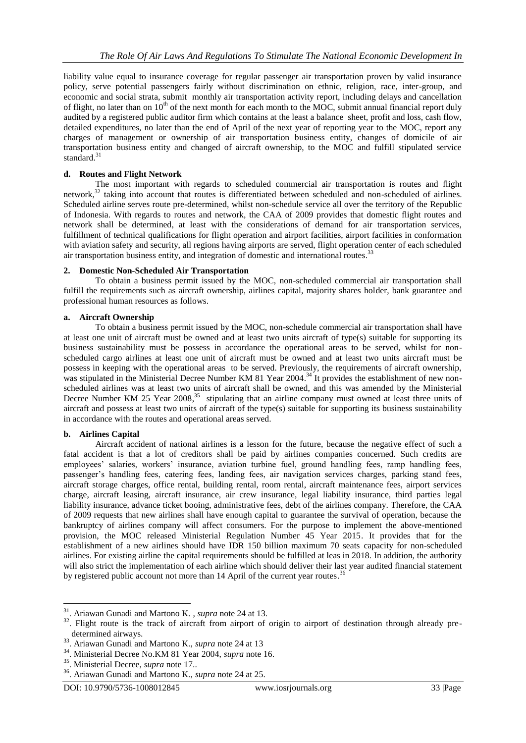liability value equal to insurance coverage for regular passenger air transportation proven by valid insurance policy, serve potential passengers fairly without discrimination on ethnic, religion, race, inter-group, and economic and social strata, submit monthly air transportation activity report, including delays and cancellation of flight, no later than on  $10<sup>th</sup>$  of the next month for each month to the MOC, submit annual financial report duly audited by a registered public auditor firm which contains at the least a balance sheet, profit and loss, cash flow, detailed expenditures, no later than the end of April of the next year of reporting year to the MOC, report any charges of management or ownership of air transportation business entity, changes of domicile of air transportation business entity and changed of aircraft ownership, to the MOC and fulfill stipulated service standard.<sup>31</sup>

### **d. Routes and Flight Network**

The most important with regards to scheduled commercial air transportation is routes and flight network,<sup>32</sup> taking into account that routes is differentiated between scheduled and non-scheduled of airlines. Scheduled airline serves route pre-determined, whilst non-schedule service all over the territory of the Republic of Indonesia. With regards to routes and network, the CAA of 2009 provides that domestic flight routes and network shall be determined, at least with the considerations of demand for air transportation services, fulfillment of technical qualifications for flight operation and airport facilities, airport facilities in conformation with aviation safety and security, all regions having airports are served, flight operation center of each scheduled air transportation business entity, and integration of domestic and international routes.<sup>33</sup>

### **2. Domestic Non-Scheduled Air Transportation**

To obtain a business permit issued by the MOC, non-scheduled commercial air transportation shall fulfill the requirements such as aircraft ownership, airlines capital, majority shares holder, bank guarantee and professional human resources as follows.

### **a. Aircraft Ownership**

To obtain a business permit issued by the MOC, non-schedule commercial air transportation shall have at least one unit of aircraft must be owned and at least two units aircraft of type(s) suitable for supporting its business sustainability must be possess in accordance the operational areas to be served, whilst for nonscheduled cargo airlines at least one unit of aircraft must be owned and at least two units aircraft must be possess in keeping with the operational areas to be served. Previously, the requirements of aircraft ownership, was stipulated in the Ministerial Decree Number KM 81 Year 2004.<sup>34</sup> It provides the establishment of new nonscheduled airlines was at least two units of aircraft shall be owned, and this was amended by the Ministerial Decree Number KM 25 Year 2008,<sup>35</sup> stipulating that an airline company must owned at least three units of aircraft and possess at least two units of aircraft of the type(s) suitable for supporting its business sustainability in accordance with the routes and operational areas served.

#### **b. Airlines Capital**

**.** 

Aircraft accident of national airlines is a lesson for the future, because the negative effect of such a fatal accident is that a lot of creditors shall be paid by airlines companies concerned. Such credits are employees' salaries, workers' insurance, aviation turbine fuel, ground handling fees, ramp handling fees, passenger's handling fees, catering fees, landing fees, air navigation services charges, parking stand fees, aircraft storage charges, office rental, building rental, room rental, aircraft maintenance fees, airport services charge, aircraft leasing, aircraft insurance, air crew insurance, legal liability insurance, third parties legal liability insurance, advance ticket booing, administrative fees, debt of the airlines company. Therefore, the CAA of 2009 requests that new airlines shall have enough capital to guarantee the survival of operation, because the bankruptcy of airlines company will affect consumers. For the purpose to implement the above-mentioned provision, the MOC released Ministerial Regulation Number 45 Year 2015. It provides that for the establishment of a new airlines should have IDR 150 billion maximum 70 seats capacity for non-scheduled airlines. For existing airline the capital requirements should be fulfilled at leas in 2018. In addition, the authority will also strict the implementation of each airline which should deliver their last year audited financial statement by registered public account not more than 14 April of the current year routes.<sup>36</sup>

<sup>31</sup>. Ariawan Gunadi and Martono K. , *supra* note 24 at 13.

<sup>&</sup>lt;sup>32</sup>. Flight route is the track of aircraft from airport of origin to airport of destination through already predetermined airways.

<sup>33</sup>. Ariawan Gunadi and Martono K., *supra* note 24 at 13

<sup>34</sup>. Ministerial Decree No.KM 81 Year 2004, *supra* note 16.

<sup>35</sup> . Ministerial Decree, *supra* note 17..

<sup>36</sup>. Ariawan Gunadi and Martono K., *supra* note 24 at 25.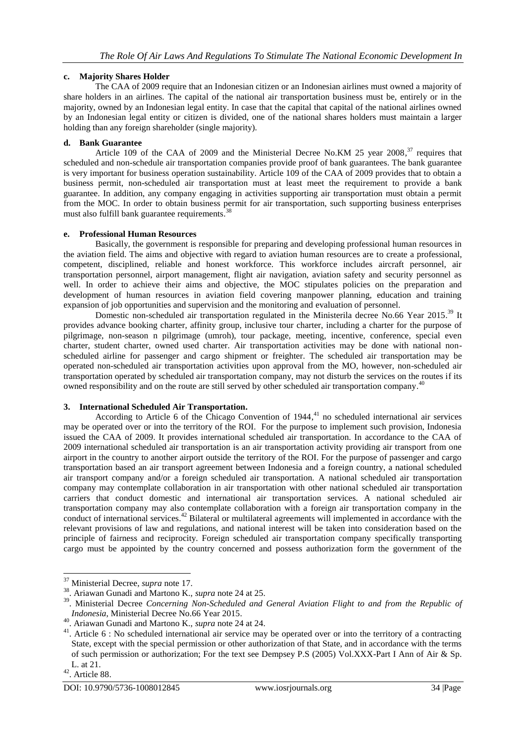# **c. Majority Shares Holder**

The CAA of 2009 require that an Indonesian citizen or an Indonesian airlines must owned a majority of share holders in an airlines. The capital of the national air transportation business must be, entirely or in the majority, owned by an Indonesian legal entity. In case that the capital that capital of the national airlines owned by an Indonesian legal entity or citizen is divided, one of the national shares holders must maintain a larger holding than any foreign shareholder (single majority).

# **d. Bank Guarantee**

Article 109 of the CAA of 2009 and the Ministerial Decree No.KM 25 year 2008,<sup>37</sup> requires that scheduled and non-schedule air transportation companies provide proof of bank guarantees. The bank guarantee is very important for business operation sustainability. Article 109 of the CAA of 2009 provides that to obtain a business permit, non-scheduled air transportation must at least meet the requirement to provide a bank guarantee. In addition, any company engaging in activities supporting air transportation must obtain a permit from the MOC. In order to obtain business permit for air transportation, such supporting business enterprises must also fulfill bank guarantee requirements.<sup>38</sup>

### **e. Professional Human Resources**

Basically, the government is responsible for preparing and developing professional human resources in the aviation field. The aims and objective with regard to aviation human resources are to create a professional, competent, disciplined, reliable and honest workforce. This workforce includes aircraft personnel, air transportation personnel, airport management, flight air navigation, aviation safety and security personnel as well. In order to achieve their aims and objective, the MOC stipulates policies on the preparation and development of human resources in aviation field covering manpower planning, education and training expansion of job opportunities and supervision and the monitoring and evaluation of personnel.

Domestic non-scheduled air transportation regulated in the Ministerila decree No.66 Year 2015.<sup>39</sup> It provides advance booking charter, affinity group, inclusive tour charter, including a charter for the purpose of pilgrimage, non-season n pilgrimage (umroh), tour package, meeting, incentive, conference, special even charter, student charter, owned used charter. Air transportation activities may be done with national nonscheduled airline for passenger and cargo shipment or freighter. The scheduled air transportation may be operated non-scheduled air transportation activities upon approval from the MO, however, non-scheduled air transportation operated by scheduled air transportation company, may not disturb the services on the routes if its owned responsibility and on the route are still served by other scheduled air transportation company.<sup>40</sup>

# **3. International Scheduled Air Transportation.**

According to Article 6 of the Chicago Convention of 1944, <sup>41</sup> no scheduled international air services may be operated over or into the territory of the ROI. For the purpose to implement such provision, Indonesia issued the CAA of 2009. It provides international scheduled air transportation. In accordance to the CAA of 2009 international scheduled air transportation is an air transportation activity providing air transport from one airport in the country to another airport outside the territory of the ROI. For the purpose of passenger and cargo transportation based an air transport agreement between Indonesia and a foreign country, a national scheduled air transport company and/or a foreign scheduled air transportation. A national scheduled air transportation company may contemplate collaboration in air transportation with other national scheduled air transportation carriers that conduct domestic and international air transportation services. A national scheduled air transportation company may also contemplate collaboration with a foreign air transportation company in the conduct of international services.<sup>42</sup> Bilateral or multilateral agreements will implemented in accordance with the relevant provisions of law and regulations, and national interest will be taken into consideration based on the principle of fairness and reciprocity. Foreign scheduled air transportation company specifically transporting cargo must be appointed by the country concerned and possess authorization form the government of the

<sup>37</sup> Ministerial Decree, *supra* note 17.

<sup>38</sup>. Ariawan Gunadi and Martono K., *supra* note 24 at 25.

<sup>&</sup>lt;sup>39</sup>. Ministerial Decree *Concerning Non-Scheduled and General Aviation Flight to and from the Republic of Indonesia*, Ministerial Decree No.66 Year 2015.

<sup>40</sup>. Ariawan Gunadi and Martono K., *supra* note 24 at 24.

<sup>&</sup>lt;sup>41</sup>. Article 6 : No scheduled international air service may be operated over or into the territory of a contracting State, except with the special permission or other authorization of that State, and in accordance with the terms of such permission or authorization; For the text see Dempsey P.S (2005) Vol.XXX-Part I Ann of Air & Sp. L. at 21.

 $42.$  Article 88.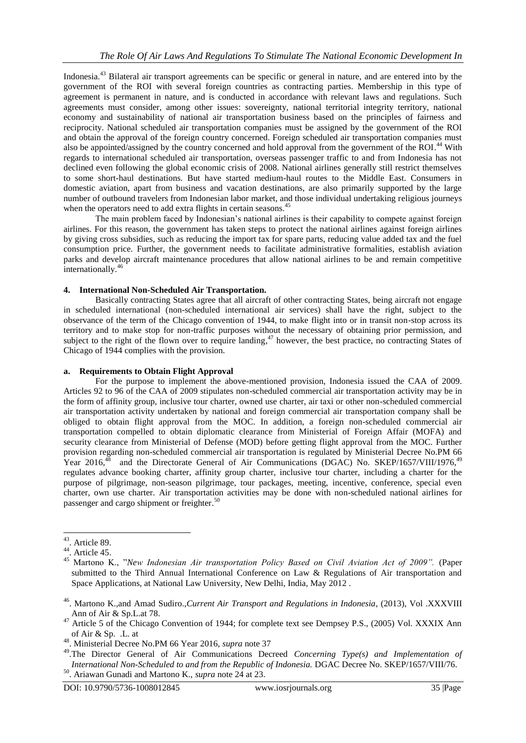Indonesia.<sup>43</sup> Bilateral air transport agreements can be specific or general in nature, and are entered into by the government of the ROI with several foreign countries as contracting parties. Membership in this type of agreement is permanent in nature, and is conducted in accordance with relevant laws and regulations. Such agreements must consider, among other issues: sovereignty, national territorial integrity territory, national economy and sustainability of national air transportation business based on the principles of fairness and reciprocity. National scheduled air transportation companies must be assigned by the government of the ROI and obtain the approval of the foreign country concerned. Foreign scheduled air transportation companies must also be appointed/assigned by the country concerned and hold approval from the government of the ROI.<sup>44</sup> With regards to international scheduled air transportation, overseas passenger traffic to and from Indonesia has not declined even following the global economic crisis of 2008. National airlines generally still restrict themselves to some short-haul destinations. But have started medium-haul routes to the Middle East. Consumers in domestic aviation, apart from business and vacation destinations, are also primarily supported by the large number of outbound travelers from Indonesian labor market, and those individual undertaking religious journeys when the operators need to add extra flights in certain seasons.<sup>45</sup>

The main problem faced by Indonesian's national airlines is their capability to compete against foreign airlines. For this reason, the government has taken steps to protect the national airlines against foreign airlines by giving cross subsidies, such as reducing the import tax for spare parts, reducing value added tax and the fuel consumption price. Further, the government needs to facilitate administrative formalities, establish aviation parks and develop aircraft maintenance procedures that allow national airlines to be and remain competitive internationally. 46

# **4. International Non-Scheduled Air Transportation.**

Basically contracting States agree that all aircraft of other contracting States, being aircraft not engage in scheduled international (non-scheduled international air services) shall have the right, subject to the observance of the term of the Chicago convention of 1944, to make flight into or in transit non-stop across its territory and to make stop for non-traffic purposes without the necessary of obtaining prior permission, and subject to the right of the flown over to require landing,<sup>47</sup> however, the best practice, no contracting States of Chicago of 1944 complies with the provision.

### **a. Requirements to Obtain Flight Approval**

For the purpose to implement the above-mentioned provision, Indonesia issued the CAA of 2009. Articles 92 to 96 of the CAA of 2009 stipulates non-scheduled commercial air transportation activity may be in the form of affinity group, inclusive tour charter, owned use charter, air taxi or other non-scheduled commercial air transportation activity undertaken by national and foreign commercial air transportation company shall be obliged to obtain flight approval from the MOC. In addition, a foreign non-scheduled commercial air transportation compelled to obtain diplomatic clearance from Ministerial of Foreign Affair (MOFA) and security clearance from Ministerial of Defense (MOD) before getting flight approval from the MOC. Further provision regarding non-scheduled commercial air transportation is regulated by Ministerial Decree No.PM 66 Year 2016,<sup>48</sup> and the Directorate General of Air Communications (DGAC) No. SKEP/1657/VIII/1976,<sup>49</sup> regulates advance booking charter, affinity group charter, inclusive tour charter, including a charter for the purpose of pilgrimage, non-season pilgrimage, tour packages, meeting, incentive, conference, special even charter, own use charter. Air transportation activities may be done with non-scheduled national airlines for passenger and cargo shipment or freighter.<sup>50</sup>

 $43$ . Article 89.

 $44.$  Article 45.

<sup>45</sup> Martono K., "*New Indonesian Air transportation Policy Based on Civil Aviation Act of 2009".* (Paper submitted to the Third Annual International Conference on Law & Regulations of Air transportation and Space Applications, at National Law University, New Delhi, India, May 2012 .

<sup>46</sup>. Martono K.,and Amad Sudiro.,*Current Air Transport and Regulations in Indonesia*, (2013), Vol .XXXVIII Ann of Air & Sp.L.at 78.

 $47$  Article 5 of the Chicago Convention of 1944; for complete text see Dempsey P.S., (2005) Vol. XXXIX Ann of Air & Sp. .L. at

<sup>48</sup>. Ministerial Decree No.PM 66 Year 2016, *supra* note 37

<sup>49</sup>.The Director General of Air Communications Decreed *Concerning Type(s) and Implementation of International Non-Scheduled to and from the Republic of Indonesia.* DGAC Decree No. SKEP/1657/VIII/76.

<sup>50</sup>. Ariawan Gunadi and Martono K., *supra* note 24 at 23.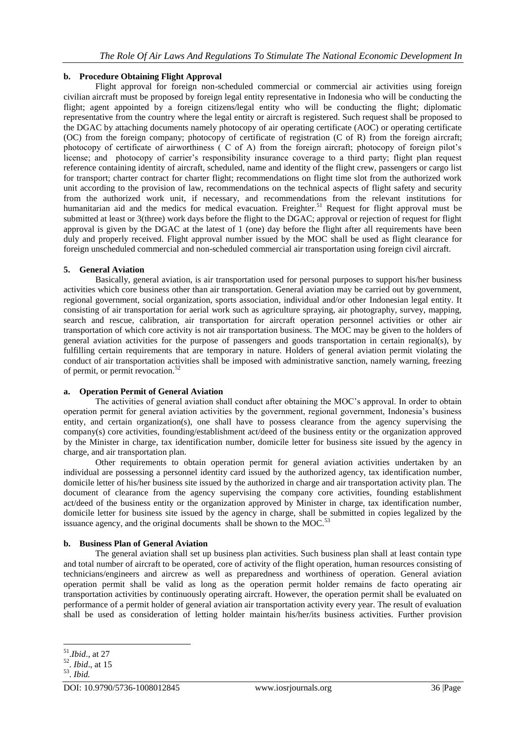# **b. Procedure Obtaining Flight Approval**

Flight approval for foreign non-scheduled commercial or commercial air activities using foreign civilian aircraft must be proposed by foreign legal entity representative in Indonesia who will be conducting the flight; agent appointed by a foreign citizens/legal entity who will be conducting the flight; diplomatic representative from the country where the legal entity or aircraft is registered. Such request shall be proposed to the DGAC by attaching documents namely photocopy of air operating certificate (AOC) or operating certificate (OC) from the foreign company; photocopy of certificate of registration (C of R) from the foreign aircraft; photocopy of certificate of airworthiness ( C of A) from the foreign aircraft; photocopy of foreign pilot's license; and photocopy of carrier's responsibility insurance coverage to a third party; flight plan request reference containing identity of aircraft, scheduled, name and identity of the flight crew, passengers or cargo list for transport; charter contract for charter flight; recommendations on flight time slot from the authorized work unit according to the provision of law, recommendations on the technical aspects of flight safety and security from the authorized work unit, if necessary, and recommendations from the relevant institutions for humanitarian aid and the medics for medical evacuation. Freighter.<sup>51</sup> Request for flight approval must be submitted at least or 3(three) work days before the flight to the DGAC; approval or rejection of request for flight approval is given by the DGAC at the latest of 1 (one) day before the flight after all requirements have been duly and properly received. Flight approval number issued by the MOC shall be used as flight clearance for foreign unscheduled commercial and non-scheduled commercial air transportation using foreign civil aircraft.

# **5. General Aviation**

Basically, general aviation, is air transportation used for personal purposes to support his/her business activities which core business other than air transportation. General aviation may be carried out by government, regional government, social organization, sports association, individual and/or other Indonesian legal entity. It consisting of air transportation for aerial work such as agriculture spraying, air photography, survey, mapping, search and rescue, calibration, air transportation for aircraft operation personnel activities or other air transportation of which core activity is not air transportation business. The MOC may be given to the holders of general aviation activities for the purpose of passengers and goods transportation in certain regional(s), by fulfilling certain requirements that are temporary in nature. Holders of general aviation permit violating the conduct of air transportation activities shall be imposed with administrative sanction, namely warning, freezing of permit, or permit revocation. 52

# **a. Operation Permit of General Aviation**

The activities of general aviation shall conduct after obtaining the MOC's approval. In order to obtain operation permit for general aviation activities by the government, regional government, Indonesia's business entity, and certain organization(s), one shall have to possess clearance from the agency supervising the company(s) core activities, founding/establishment act/deed of the business entity or the organization approved by the Minister in charge, tax identification number, domicile letter for business site issued by the agency in charge, and air transportation plan.

Other requirements to obtain operation permit for general aviation activities undertaken by an individual are possessing a personnel identity card issued by the authorized agency, tax identification number, domicile letter of his/her business site issued by the authorized in charge and air transportation activity plan. The document of clearance from the agency supervising the company core activities, founding establishment act/deed of the business entity or the organization approved by Minister in charge, tax identification number, domicile letter for business site issued by the agency in charge, shall be submitted in copies legalized by the issuance agency, and the original documents shall be shown to the MOC.<sup>53</sup>

# **b. Business Plan of General Aviation**

The general aviation shall set up business plan activities. Such business plan shall at least contain type and total number of aircraft to be operated, core of activity of the flight operation, human resources consisting of technicians/engineers and aircrew as well as preparedness and worthiness of operation. General aviation operation permit shall be valid as long as the operation permit holder remains de facto operating air transportation activities by continuously operating aircraft. However, the operation permit shall be evaluated on performance of a permit holder of general aviation air transportation activity every year. The result of evaluation shall be used as consideration of letting holder maintain his/her/its business activities. Further provision

 51 .*Ibid*., at 27

<sup>52</sup> . *Ibid*., at 15

<sup>53</sup> . *Ibid.*

DOI: 10.9790/5736-1008012845 www.iosrjournals.org 36 |Page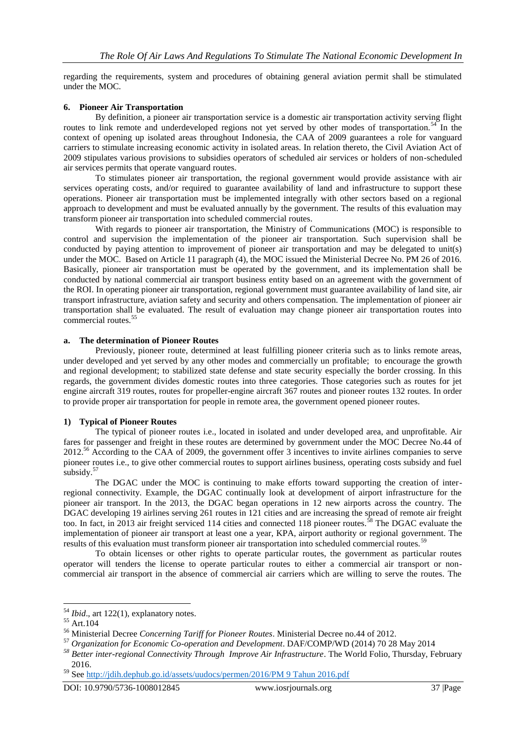regarding the requirements, system and procedures of obtaining general aviation permit shall be stimulated under the MOC.

#### **6. Pioneer Air Transportation**

By definition, a pioneer air transportation service is a domestic air transportation activity serving flight routes to link remote and underdeveloped regions not yet served by other modes of transportation.<sup>54</sup> In the context of opening up isolated areas throughout Indonesia, the CAA of 2009 guarantees a role for vanguard carriers to stimulate increasing economic activity in isolated areas. In relation thereto, the Civil Aviation Act of 2009 stipulates various provisions to subsidies operators of scheduled air services or holders of non-scheduled air services permits that operate vanguard routes.

To stimulates pioneer air transportation, the regional government would provide assistance with air services operating costs, and/or required to guarantee availability of land and infrastructure to support these operations. Pioneer air transportation must be implemented integrally with other sectors based on a regional approach to development and must be evaluated annually by the government. The results of this evaluation may transform pioneer air transportation into scheduled commercial routes.

With regards to pioneer air transportation, the Ministry of Communications (MOC) is responsible to control and supervision the implementation of the pioneer air transportation. Such supervision shall be conducted by paying attention to improvement of pioneer air transportation and may be delegated to unit(s) under the MOC. Based on Article 11 paragraph (4), the MOC issued the Ministerial Decree No. PM 26 of 2016. Basically, pioneer air transportation must be operated by the government, and its implementation shall be conducted by national commercial air transport business entity based on an agreement with the government of the ROI. In operating pioneer air transportation, regional government must guarantee availability of land site, air transport infrastructure, aviation safety and security and others compensation. The implementation of pioneer air transportation shall be evaluated. The result of evaluation may change pioneer air transportation routes into commercial routes.<sup>55</sup>

#### **a. The determination of Pioneer Routes**

Previously, pioneer route, determined at least fulfilling pioneer criteria such as to links remote areas, under developed and yet served by any other modes and commercially un profitable; to encourage the growth and regional development; to stabilized state defense and state security especially the border crossing. In this regards, the government divides domestic routes into three categories. Those categories such as routes for jet engine aircraft 319 routes, routes for propeller-engine aircraft 367 routes and pioneer routes 132 routes. In order to provide proper air transportation for people in remote area, the government opened pioneer routes.

#### **1) Typical of Pioneer Routes**

The typical of pioneer routes i.e., located in isolated and under developed area, and unprofitable. Air fares for passenger and freight in these routes are determined by government under the MOC Decree No.44 of 2012.<sup>56</sup> According to the CAA of 2009, the government offer 3 incentives to invite airlines companies to serve pioneer routes i.e., to give other commercial routes to support airlines business, operating costs subsidy and fuel subsidy.<sup>57</sup>

The DGAC under the MOC is continuing to make efforts toward supporting the creation of interregional connectivity. Example, the DGAC continually look at development of airport infrastructure for the pioneer air transport. In the 2013, the DGAC began operations in 12 new airports across the country. The DGAC developing 19 airlines serving 261 routes in 121 cities and are increasing the spread of remote air freight too. In fact, in 2013 air freight serviced 114 cities and connected 118 pioneer routes.<sup>58</sup> The DGAC evaluate the implementation of pioneer air transport at least one a year, KPA, airport authority or regional government. The results of this evaluation must transform pioneer air transportation into scheduled commercial routes.<sup>59</sup>

To obtain licenses or other rights to operate particular routes, the government as particular routes operator will tenders the license to operate particular routes to either a commercial air transport or noncommercial air transport in the absence of commercial air carriers which are willing to serve the routes. The

<sup>54</sup> *Ibid*., art 122(1), explanatory notes.

<sup>55</sup> Art.104

<sup>56</sup> Ministerial Decree *Concerning Tariff for Pioneer Routes*. Ministerial Decree no.44 of 2012.

<sup>57</sup> *Organization for Economic Co-operation and Development*. DAF/COMP/WD (2014) 70 28 May 2014

*<sup>58</sup> Better inter-regional Connectivity Through Improve Air Infrastructure*. The World Folio, Thursday, February 2016.

<sup>59</sup> See [http://jdih.dephub.go.id/assets/uudocs/permen/2016/PM 9 Tahun 2016.pdf](http://jdih.dephub.go.id/assets/uudocs/permen/2016/PM%209%20Tahun%202016.pdf)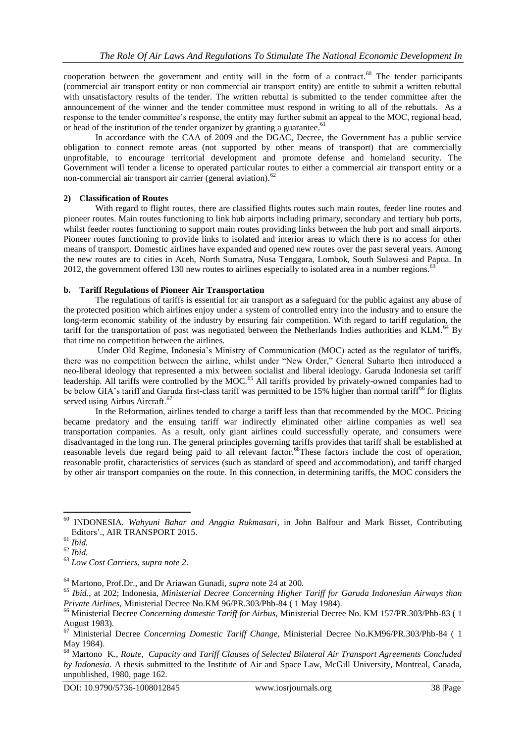cooperation between the government and entity will in the form of a contract.<sup>60</sup> The tender participants (commercial air transport entity or non commercial air transport entity) are entitle to submit a written rebuttal with unsatisfactory results of the tender. The written rebuttal is submitted to the tender committee after the announcement of the winner and the tender committee must respond in writing to all of the rebuttals. As a response to the tender committee's response, the entity may further submit an appeal to the MOC, regional head, or head of the institution of the tender organizer by granting a guarantee.<sup>61</sup>

In accordance with the CAA of 2009 and the DGAC, Decree, the Government has a public service obligation to connect remote areas (not supported by other means of transport) that are commercially unprofitable, to encourage territorial development and promote defense and homeland security. The Government will tender a license to operated particular routes to either a commercial air transport entity or a non-commercial air transport air carrier (general aviation).<sup>62</sup>

# **2) Classification of Routes**

With regard to flight routes, there are classified flights routes such main routes, feeder line routes and pioneer routes. Main routes functioning to link hub airports including primary, secondary and tertiary hub ports, whilst feeder routes functioning to support main routes providing links between the hub port and small airports. Pioneer routes functioning to provide links to isolated and interior areas to which there is no access for other means of transport. Domestic airlines have expanded and opened new routes over the past several years. Among the new routes are to cities in Aceh, North Sumatra, Nusa Tenggara, Lombok, South Sulawesi and Papua. In 2012, the government offered 130 new routes to airlines especially to isolated area in a number regions. $63$ 

### **b. Tariff Regulations of Pioneer Air Transportation**

The regulations of tariffs is essential for air transport as a safeguard for the public against any abuse of the protected position which airlines enjoy under a system of controlled entry into the industry and to ensure the long-term economic stability of the industry by ensuring fair competition. With regard to tariff regulation, the tariff for the transportation of post was negotiated between the Netherlands Indies authorities and KLM.<sup>64</sup> By that time no competition between the airlines.

Under Old Regime, Indonesia's Ministry of Communication (MOC) acted as the regulator of tariffs, there was no competition between the airline, whilst under "New Order," General Suharto then introduced a neo-liberal ideology that represented a mix between socialist and liberal ideology. Garuda Indonesia set tariff leadership. All tariffs were controlled by the MOC.<sup>65</sup> All tariffs provided by privately-owned companies had to be below GIA's tariff and Garuda first-class tariff was permitted to be 15% higher than normal tariff<sup>66</sup> for flights served using Airbus Aircraft.<sup>67</sup>

In the Reformation, airlines tended to charge a tariff less than that recommended by the MOC. Pricing became predatory and the ensuing tariff war indirectly eliminated other airline companies as well sea transportation companies. As a result, only giant airlines could successfully operate, and consumers were disadvantaged in the long run. The general principles governing tariffs provides that tariff shall be established at reasonable levels due regard being paid to all relevant factor.<sup>68</sup>These factors include the cost of operation, reasonable profit, characteristics of services (such as standard of speed and accommodation), and tariff charged by other air transport companies on the route. In this connection, in determining tariffs, the MOC considers the

**.** 

<sup>64</sup> Martono, Prof.Dr., and Dr Ariawan Gunadi*, supra* note 24 at 200.

DOI: 10.9790/5736-1008012845 www.iosrjournals.org 38 |Page

<sup>60</sup> INDONESIA. *Wahyuni Bahar and Anggia Rukmasari*, in John Balfour and Mark Bisset, Contributing Editors'., AIR TRANSPORT 2015.

<sup>61</sup> *Ibid.*

<sup>62</sup> *Ibid.*

<sup>63</sup> *Low Cost Carriers, supra note 2*.

<sup>65</sup> *Ibid.*, at 202; Indonesia, *Ministerial Decree Concerning Higher Tariff for Garuda Indonesian Airways than Private Airlines,* Ministerial Decree No.KM 96/PR.303/Phb-84 ( 1 May 1984).

<sup>66</sup> Ministerial Decree *Concerning domestic Tariff for Airbus,* Ministerial Decree No. KM 157/PR.303/Phb-83 ( 1 August 1983).

<sup>67</sup> Ministerial Decree *Concerning Domestic Tariff Change,* Ministerial Decree No.KM96/PR.303/Phb-84 ( 1 May 1984).

<sup>68</sup> Martono K., *Route, Capacity and Tariff Clauses of Selected Bilateral Air Transport Agreements Concluded by Indonesia*. A thesis submitted to the Institute of Air and Space Law, McGill University, Montreal, Canada, unpublished, 1980, page 162.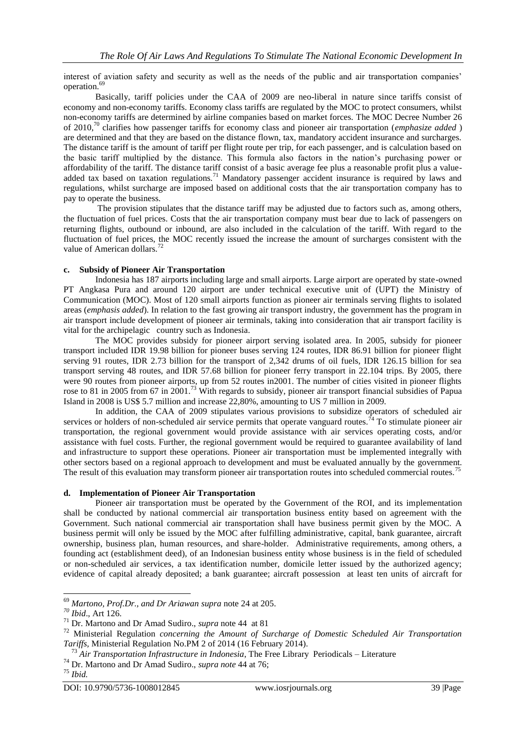interest of aviation safety and security as well as the needs of the public and air transportation companies' operation.<sup>69</sup>

Basically, tariff policies under the CAA of 2009 are neo-liberal in nature since tariffs consist of economy and non-economy tariffs. Economy class tariffs are regulated by the MOC to protect consumers, whilst non-economy tariffs are determined by airline companies based on market forces. The MOC Decree Number 26 of 2010,<sup>70</sup> clarifies how passenger tariffs for economy class and pioneer air transportation (*emphasize added* ) are determined and that they are based on the distance flown, tax, mandatory accident insurance and surcharges. The distance tariff is the amount of tariff per flight route per trip, for each passenger, and is calculation based on the basic tariff multiplied by the distance. This formula also factors in the nation's purchasing power or affordability of the tariff. The distance tariff consist of a basic average fee plus a reasonable profit plus a valueadded tax based on taxation regulations.<sup>71</sup> Mandatory passenger accident insurance is required by laws and regulations, whilst surcharge are imposed based on additional costs that the air transportation company has to pay to operate the business.

The provision stipulates that the distance tariff may be adjusted due to factors such as, among others, the fluctuation of fuel prices. Costs that the air transportation company must bear due to lack of passengers on returning flights, outbound or inbound, are also included in the calculation of the tariff. With regard to the fluctuation of fuel prices, the MOC recently issued the increase the amount of surcharges consistent with the value of American dollars.<sup>7</sup>

### **c. Subsidy of Pioneer Air Transportation**

Indonesia has 187 airports including large and small airports. Large airport are operated by state-owned PT Angkasa Pura and around 120 airport are under technical executive unit of (UPT) the Ministry of Communication (MOC). Most of 120 small airports function as pioneer air terminals serving flights to isolated areas (*emphasis added*). In relation to the fast growing air transport industry, the government has the program in air transport include development of pioneer air terminals, taking into consideration that air transport facility is vital for the archipelagic country such as Indonesia.

The MOC provides subsidy for pioneer airport serving isolated area. In 2005, subsidy for pioneer transport included IDR 19.98 billion for pioneer buses serving 124 routes, IDR 86.91 billion for pioneer flight serving 91 routes, IDR 2.73 billion for the transport of 2,342 drums of oil fuels, IDR 126.15 billion for sea transport serving 48 routes, and IDR 57.68 billion for pioneer ferry transport in 22.104 trips. By 2005, there were 90 routes from pioneer airports, up from 52 routes in2001. The number of cities visited in pioneer flights rose to 81 in 2005 from 67 in 2001.<sup>73</sup> With regards to subsidy, pioneer air transport financial subsidies of Papua Island in 2008 is US\$ 5.7 million and increase 22,80%, amounting to US 7 million in 2009.

In addition, the CAA of 2009 stipulates various provisions to subsidize operators of scheduled air services or holders of non-scheduled air service permits that operate vanguard routes.<sup>74</sup> To stimulate pioneer air transportation, the regional government would provide assistance with air services operating costs, and/or assistance with fuel costs. Further, the regional government would be required to guarantee availability of land and infrastructure to support these operations. Pioneer air transportation must be implemented integrally with other sectors based on a regional approach to development and must be evaluated annually by the government. The result of this evaluation may transform pioneer air transportation routes into scheduled commercial routes.<sup>75</sup>

### **d. Implementation of Pioneer Air Transportation**

Pioneer air transportation must be operated by the Government of the ROI, and its implementation shall be conducted by national commercial air transportation business entity based on agreement with the Government. Such national commercial air transportation shall have business permit given by the MOC. A business permit will only be issued by the MOC after fulfilling administrative, capital, bank guarantee, aircraft ownership, business plan, human resources, and share-holder. Administrative requirements, among others, a founding act (establishment deed), of an Indonesian business entity whose business is in the field of scheduled or non-scheduled air services, a tax identification number, domicile letter issued by the authorized agency; evidence of capital already deposited; a bank guarantee; aircraft possession at least ten units of aircraft for

<sup>69</sup> *Martono, Prof.Dr., and Dr Ariawan supra* note 24 at 205.

*<sup>70</sup> Ibid*., Art 126.

<sup>71</sup> Dr. Martono and Dr Amad Sudiro., *supra* note 44 at 81

<sup>72</sup> Ministerial Regulation *concerning the Amount of Surcharge of Domestic Scheduled Air Transportation Tariffs,* Ministerial Regulation No.PM 2 of 2014 (16 February 2014).

<sup>&</sup>lt;sup>7</sup> Air Transportation Infrastructure in Indonesia, The Free Library Periodicals – Literature

<sup>74</sup> Dr. Martono and Dr Amad Sudiro., *supra note* 44 at 76;

<sup>75</sup> *Ibid.*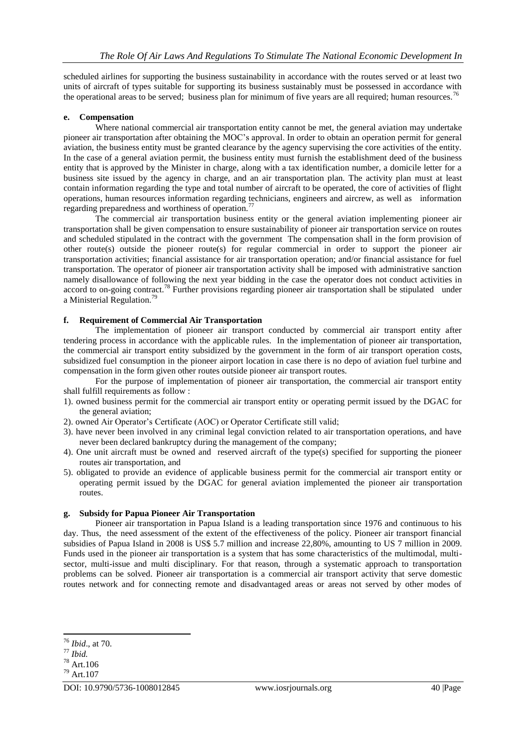scheduled airlines for supporting the business sustainability in accordance with the routes served or at least two units of aircraft of types suitable for supporting its business sustainably must be possessed in accordance with the operational areas to be served; business plan for minimum of five years are all required; human resources.<sup>76</sup>

### **e. Compensation**

Where national commercial air transportation entity cannot be met, the general aviation may undertake pioneer air transportation after obtaining the MOC's approval. In order to obtain an operation permit for general aviation, the business entity must be granted clearance by the agency supervising the core activities of the entity. In the case of a general aviation permit, the business entity must furnish the establishment deed of the business entity that is approved by the Minister in charge, along with a tax identification number, a domicile letter for a business site issued by the agency in charge, and an air transportation plan. The activity plan must at least contain information regarding the type and total number of aircraft to be operated, the core of activities of flight operations, human resources information regarding technicians, engineers and aircrew, as well as information regarding preparedness and worthiness of operation.<sup>77</sup>

The commercial air transportation business entity or the general aviation implementing pioneer air transportation shall be given compensation to ensure sustainability of pioneer air transportation service on routes and scheduled stipulated in the contract with the government The compensation shall in the form provision of other route(s) outside the pioneer route(s) for regular commercial in order to support the pioneer air transportation activities; financial assistance for air transportation operation; and/or financial assistance for fuel transportation. The operator of pioneer air transportation activity shall be imposed with administrative sanction namely disallowance of following the next year bidding in the case the operator does not conduct activities in accord to on-going contract.<sup>78</sup> Further provisions regarding pioneer air transportation shall be stipulated under a Ministerial Regulation.<sup>79</sup>

# **f. Requirement of Commercial Air Transportation**

The implementation of pioneer air transport conducted by commercial air transport entity after tendering process in accordance with the applicable rules. In the implementation of pioneer air transportation, the commercial air transport entity subsidized by the government in the form of air transport operation costs, subsidized fuel consumption in the pioneer airport location in case there is no depo of aviation fuel turbine and compensation in the form given other routes outside pioneer air transport routes.

For the purpose of implementation of pioneer air transportation, the commercial air transport entity shall fulfill requirements as follow :

- 1). owned business permit for the commercial air transport entity or operating permit issued by the DGAC for the general aviation;
- 2). owned Air Operator's Certificate (AOC) or Operator Certificate still valid;
- 3). have never been involved in any criminal legal conviction related to air transportation operations, and have never been declared bankruptcy during the management of the company;
- 4). One unit aircraft must be owned and reserved aircraft of the type(s) specified for supporting the pioneer routes air transportation, and
- 5). obligated to provide an evidence of applicable business permit for the commercial air transport entity or operating permit issued by the DGAC for general aviation implemented the pioneer air transportation routes.

### **g. Subsidy for Papua Pioneer Air Transportation**

Pioneer air transportation in Papua Island is a leading transportation since 1976 and continuous to his day. Thus, the need assessment of the extent of the effectiveness of the policy. Pioneer air transport financial subsidies of Papua Island in 2008 is US\$ 5.7 million and increase 22,80%, amounting to US 7 million in 2009. Funds used in the pioneer air transportation is a system that has some characteristics of the multimodal, multisector, multi-issue and multi disciplinary. For that reason, through a systematic approach to transportation problems can be solved. Pioneer air transportation is a commercial air transport activity that serve domestic routes network and for connecting remote and disadvantaged areas or areas not served by other modes of

<sup>76</sup> *Ibid*., at 70.

<sup>77</sup> *Ibid.*

<sup>78</sup> Art.106

<sup>79</sup> Art.107

DOI: 10.9790/5736-1008012845 www.iosrjournals.org 40 |Page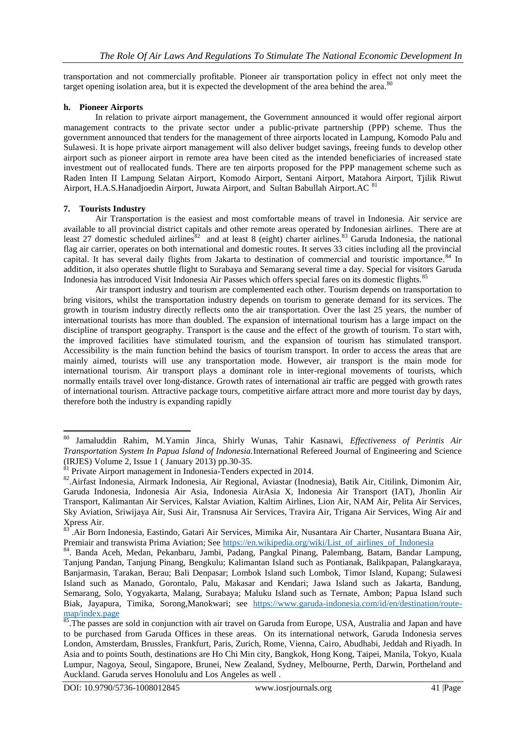transportation and not commercially profitable. Pioneer air transportation policy in effect not only meet the target opening isolation area, but it is expected the development of the area behind the area.<sup>8</sup>

### **h. Pioneer Airports**

In relation to private airport management, the Government announced it would offer regional airport management contracts to the private sector under a public-private partnership (PPP) scheme. Thus the government announced that tenders for the management of three airports located in Lampung, Komodo Palu and Sulawesi. It is hope private airport management will also deliver budget savings, freeing funds to develop other airport such as pioneer airport in remote area have been cited as the intended beneficiaries of increased state investment out of reallocated funds. There are ten airports proposed for the PPP management scheme such as Raden Inten II Lampung Selatan Airport, Komodo Airport, Sentani Airport, Matahora Airport, Tjilik Riwut Airport, H.A.S.Hanadjoedin Airport, Juwata Airport, and Sultan Babullah Airport.AC 8

### **7. Tourists Industry**

Air Transportation is the easiest and most comfortable means of travel in Indonesia. Air service are available to all provincial district capitals and other remote areas operated by Indonesian airlines. There are at least 27 domestic scheduled airlines ${}^{82}$  and at least 8 (eight) charter airlines. ${}^{83}$  Garuda Indonesia, the national flag air carrier, operates on both international and domestic routes. It serves 33 cities including all the provincial capital. It has several daily flights from Jakarta to destination of commercial and touristic importance.<sup>84</sup> In addition, it also operates shuttle flight to Surabaya and Semarang several time a day. Special for visitors Garuda Indonesia has introduced Visit Indonesia Air Passes which offers special fares on its domestic flights.<sup>85</sup>

Air transport industry and tourism are complemented each other. Tourism depends on transportation to bring visitors, whilst the transportation industry depends on tourism to generate demand for its services. The growth in tourism industry directly reflects onto the air transportation. Over the last 25 years, the number of international tourists has more than doubled. The expansion of international tourism has a large impact on the discipline of transport geography. Transport is the cause and the effect of the growth of tourism. To start with, the improved facilities have stimulated tourism, and the expansion of tourism has stimulated transport. Accessibility is the main function behind the basics of tourism transport. In order to access the areas that are mainly aimed, tourists will use any transportation mode. However, air transport is the main mode for international tourism. Air transport plays a dominant role in inter-regional movements of tourists, which normally entails travel over long-distance. Growth rates of international air traffic are pegged with growth rates of international tourism. Attractive package tours, competitive airfare attract more and more tourist day by days, therefore both the industry is expanding rapidly

<sup>1</sup> <sup>80</sup> Jamaluddin Rahim, M.Yamin Jinca, Shirly Wunas, Tahir Kasnawi, *Effectiveness of Perintis Air Transportation System In Papua Island of Indonesia.*International Refereed Journal of Engineering and Science (IRJES) Volume 2, Issue 1 ( January 2013) pp.30-35.

 $81$  Private Airport management in Indonesia-Tenders expected in 2014.

<sup>82</sup> .Airfast Indonesia, Airmark Indonesia, Air Regional, Aviastar (Inodnesia), Batik Air, Citilink, Dimonim Air, Garuda Indonesia, Indonesia Air Asia, Indonesia AirAsia X, Indonesia Air Transport (IAT), Jhonlin Air Transport, Kalimantan Air Services, Kalstar Aviation, Kaltim Airlines, Lion Air, NAM Air, Pelita Air Services, Sky Aviation, Sriwijaya Air, Susi Air, Transnusa Air Services, Travira Air, Trigana Air Services, Wing Air and Xpress Air.

<sup>83</sup> .Air Born Indonesia, Eastindo, Gatari Air Services, Mimika Air, Nusantara Air Charter, Nusantara Buana Air, Premiair and transwista Prima Aviation; See [https://en.wikipedia.org/wiki/List\\_of\\_airlines\\_of\\_Indonesia](https://en.wikipedia.org/wiki/List_of_airlines_of_Indonesia)

<sup>84.</sup> Banda Aceh, Medan, Pekanbaru, Jambi, Padang, Pangkal Pinang, Palembang, Batam, Bandar Lampung, Tanjung Pandan, Tanjung Pinang, Bengkulu; Kalimantan Island such as Pontianak, Balikpapan, Palangkaraya, Banjarmasin, Tarakan, Berau; Bali Denpasar; Lombok Island such Lombok, Timor Island, Kupang; Sulawesi Island such as Manado, Gorontalo, Palu, Makasar and Kendari; Jawa Island such as Jakarta, Bandung, Semarang, Solo, Yogyakarta, Malang, Surabaya; Maluku Island such as Ternate, Ambon; Papua Island such Biak, Jayapura, Timika, Sorong,Manokwari; see [https://www.garuda-indonesia.com/id/en/destination/route](https://www.garuda-indonesia.com/id/en/destination/route-map/index.page)[map/index.page](https://www.garuda-indonesia.com/id/en/destination/route-map/index.page)

<sup>&</sup>lt;sup>85</sup>. The passes are sold in conjunction with air travel on Garuda from Europe, USA, Australia and Japan and have to be purchased from Garuda Offices in these areas. On its international network, Garuda Indonesia serves London, Amsterdam, Brussles, Frankfurt, Paris, Zurich, Rome, Vienna, Cairo, Abudhabi, Jeddah and Riyadh. In Asia and to points South, destinations are Ho Chi Min city, Bangkok, Hong Kong, Taipei, Manila, Tokyo, Kuala Lumpur, Nagoya, Seoul, Singapore, Brunei, New Zealand, Sydney, Melbourne, Perth, Darwin, Portheland and Auckland. Garuda serves Honolulu and Los Angeles as well .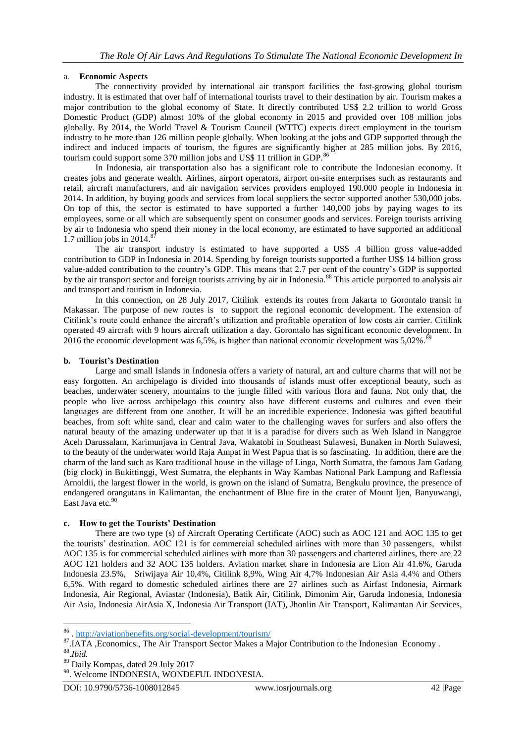# a. **Economic Aspects**

The connectivity provided by international air transport facilities the fast-growing global tourism industry. It is estimated that over half of international tourists travel to their destination by air. Tourism makes a major contribution to the global economy of State. It directly contributed US\$ 2.2 trillion to world Gross Domestic Product (GDP) almost 10% of the global economy in 2015 and provided over 108 million jobs globally. By 2014, the World Travel & Tourism Council (WTTC) expects direct employment in the tourism industry to be more than 126 million people globally. When looking at the jobs and GDP supported through the indirect and induced impacts of tourism, the figures are significantly higher at 285 million jobs. By 2016, tourism could support some 370 million jobs and US\$ 11 trillion in GDP.<sup>86</sup>

In Indonesia, air transportation also has a significant role to contribute the Indonesian economy. It creates jobs and generate wealth. Airlines, airport operators, airport on-site enterprises such as restaurants and retail, aircraft manufacturers, and air navigation services providers employed 190.000 people in Indonesia in 2014. In addition, by buying goods and services from local suppliers the sector supported another 530,000 jobs. On top of this, the sector is estimated to have supported a further 140,000 jobs by paying wages to its employees, some or all which are subsequently spent on consumer goods and services. Foreign tourists arriving by air to Indonesia who spend their money in the local economy, are estimated to have supported an additional 1.7 million jobs in 2014. $8$ 

The air transport industry is estimated to have supported a US\$ .4 billion gross value-added contribution to GDP in Indonesia in 2014. Spending by foreign tourists supported a further US\$ 14 billion gross value-added contribution to the country's GDP. This means that 2.7 per cent of the country's GDP is supported by the air transport sector and foreign tourists arriving by air in Indonesia.<sup>88</sup> This article purported to analysis air and transport and tourism in Indonesia.

In this connection, on 28 July 2017, Citilink extends its routes from Jakarta to Gorontalo transit in Makassar. The purpose of new routes is to support the regional economic development. The extension of Citilink's route could enhance the aircraft's utilization and profitable operation of low costs air carrier. Citilink operated 49 aircraft with 9 hours aircraft utilization a day. Gorontalo has significant economic development. In 2016 the economic development was  $6,5\%$ , is higher than national economic development was  $5,02\%$ .

### **b. Tourist's Destination**

Large and small Islands in Indonesia offers a variety of natural, art and culture charms that will not be easy forgotten. An archipelago is divided into thousands of islands must offer exceptional beauty, such as beaches, underwater scenery, mountains to the jungle filled with various flora and fauna. Not only that, the people who live across archipelago this country also have different customs and cultures and even their languages are different from one another. It will be an incredible experience. Indonesia was gifted beautiful beaches, from soft white sand, clear and calm water to the challenging waves for surfers and also offers the natural beauty of the amazing underwater up that it is a paradise for divers such as Weh Island in Nanggroe Aceh Darussalam, Karimunjava in Central Java, Wakatobi in Southeast Sulawesi, Bunaken in North Sulawesi, to the beauty of the underwater world Raja Ampat in West Papua that is so fascinating. In addition, there are the charm of the land such as Karo traditional house in the village of Linga, North Sumatra, the famous Jam Gadang (big clock) in Bukittinggi, West Sumatra, the elephants in Way Kambas National Park Lampung and Raflessia Arnoldii, the largest flower in the world, is grown on the island of Sumatra, Bengkulu province, the presence of endangered orangutans in Kalimantan, the enchantment of Blue fire in the crater of Mount Ijen, Banyuwangi, East Java etc.<sup>90</sup>

# **c. How to get the Tourists' Destination**

There are two type (s) of Aircraft Operating Certificate (AOC) such as AOC 121 and AOC 135 to get the tourists' destination. AOC 121 is for commercial scheduled airlines with more than 30 passengers, whilst AOC 135 is for commercial scheduled airlines with more than 30 passengers and chartered airlines, there are 22 AOC 121 holders and 32 AOC 135 holders. Aviation market share in Indonesia are Lion Air 41.6%, Garuda Indonesia 23.5%, Sriwijaya Air 10,4%, Citilink 8,9%, Wing Air 4,7% Indonesian Air Asia 4.4% and Others 6,5%. With regard to domestic scheduled airlines there are 27 airlines such as Airfast Indonesia, Airmark Indonesia, Air Regional, Aviastar (Indonesia), Batik Air, Citilink, Dimonim Air, Garuda Indonesia, Indonesia Air Asia, Indonesia AirAsia X, Indonesia Air Transport (IAT), Jhonlin Air Transport, Kalimantan Air Services,

 86 .<http://aviationbenefits.org/social-development/tourism/>

<sup>87.</sup>IATA , Economics., The Air Transport Sector Makes a Major Contribution to the Indonesian Economy .

<sup>88</sup> .*Ibid.*

<sup>89</sup> Daily Kompas, dated 29 July 2017

<sup>90</sup> . Welcome INDONESIA, WONDEFUL INDONESIA.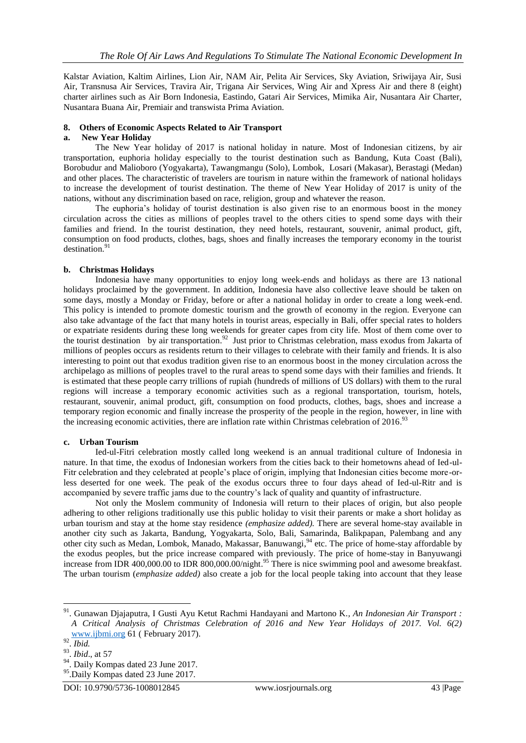Kalstar Aviation, Kaltim Airlines, Lion Air, NAM Air, Pelita Air Services, Sky Aviation, Sriwijaya Air, Susi Air, Transnusa Air Services, Travira Air, Trigana Air Services, Wing Air and Xpress Air and there 8 (eight) charter airlines such as Air Born Indonesia, Eastindo, Gatari Air Services, Mimika Air, Nusantara Air Charter, Nusantara Buana Air, Premiair and transwista Prima Aviation.

#### **8. Others of Economic Aspects Related to Air Transport**

#### **a. New Year Holiday**

The New Year holiday of 2017 is national holiday in nature. Most of Indonesian citizens, by air transportation, euphoria holiday especially to the tourist destination such as Bandung, Kuta Coast (Bali), Borobudur and Malioboro (Yogyakarta), Tawangmangu (Solo), Lombok, Losari (Makasar), Berastagi (Medan) and other places. The characteristic of travelers are tourism in nature within the framework of national holidays to increase the development of tourist destination. The theme of New Year Holiday of 2017 is unity of the nations, without any discrimination based on race, religion, group and whatever the reason.

The euphoria's holiday of tourist destination is also given rise to an enormous boost in the money circulation across the cities as millions of peoples travel to the others cities to spend some days with their families and friend. In the tourist destination, they need hotels, restaurant, souvenir, animal product, gift, consumption on food products, clothes, bags, shoes and finally increases the temporary economy in the tourist destination. 91

#### **b. Christmas Holidays**

Indonesia have many opportunities to enjoy long week-ends and holidays as there are 13 national holidays proclaimed by the government. In addition, Indonesia have also collective leave should be taken on some days, mostly a Monday or Friday, before or after a national holiday in order to create a long week-end. This policy is intended to promote domestic tourism and the growth of economy in the region. Everyone can also take advantage of the fact that many hotels in tourist areas, especially in Bali, offer special rates to holders or expatriate residents during these long weekends for greater capes from city life. Most of them come over to the tourist destination by air transportation.<sup>92</sup> Just prior to Christmas celebration, mass exodus from Jakarta of millions of peoples occurs as residents return to their villages to celebrate with their family and friends. It is also interesting to point out that exodus tradition given rise to an enormous boost in the money circulation across the archipelago as millions of peoples travel to the rural areas to spend some days with their families and friends. It is estimated that these people carry trillions of rupiah (hundreds of millions of US dollars) with them to the rural regions will increase a temporary economic activities such as a regional transportation, tourism, hotels, restaurant, souvenir, animal product, gift, consumption on food products, clothes, bags, shoes and increase a temporary region economic and finally increase the prosperity of the people in the region, however, in line with the increasing economic activities, there are inflation rate within Christmas celebration of 2016.<sup>93</sup>

#### **c. Urban Tourism**

Ied-ul-Fitri celebration mostly called long weekend is an annual traditional culture of Indonesia in nature. In that time, the exodus of Indonesian workers from the cities back to their hometowns ahead of Ied-ul-Fitr celebration and they celebrated at people's place of origin, implying that Indonesian cities become more-orless deserted for one week. The peak of the exodus occurs three to four days ahead of Ied-ul-Ritr and is accompanied by severe traffic jams due to the country's lack of quality and quantity of infrastructure.

Not only the Moslem community of Indonesia will return to their places of origin, but also people adhering to other religions traditionally use this public holiday to visit their parents or make a short holiday as urban tourism and stay at the home stay residence *(emphasize added).* There are several home-stay available in another city such as Jakarta, Bandung, Yogyakarta, Solo, Bali, Samarinda, Balikpapan, Palembang and any other city such as Medan, Lombok, Manado, Makassar, Banuwangi, <sup>94</sup> etc. The price of home-stay affordable by the exodus peoples, but the price increase compared with previously. The price of home-stay in Banyuwangi increase from IDR 400,000.00 to IDR 800,000.00/night.<sup>95</sup> There is nice swimming pool and awesome breakfast. The urban tourism (*emphasize added)* also create a job for the local people taking into account that they lease

<sup>91</sup>. Gunawan Djajaputra, I Gusti Ayu Ketut Rachmi Handayani and Martono K*., An Indonesian Air Transport : A Critical Analysis of Christmas Celebration of 2016 and New Year Holidays of 2017. Vol. 6(2)* [www.ijbmi.org](http://www.ijbmi.org/) 61 ( February 2017).

<sup>92</sup> . *Ibid.*

<sup>93</sup> . *Ibid*., at 57

<sup>&</sup>lt;sup>94</sup>. Daily Kompas dated 23 June 2017.

<sup>95</sup>.Daily Kompas dated 23 June 2017.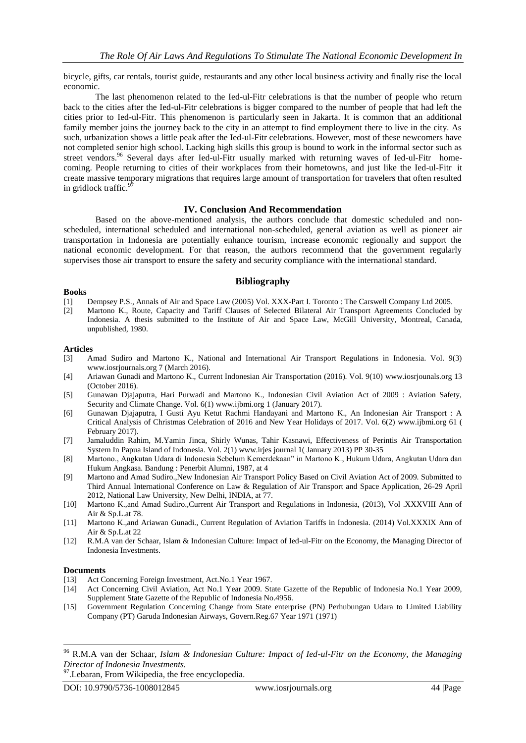bicycle, gifts, car rentals, tourist guide, restaurants and any other local business activity and finally rise the local economic.

The last phenomenon related to the Ied-ul-Fitr celebrations is that the number of people who return back to the cities after the Ied-ul-Fitr celebrations is bigger compared to the number of people that had left the cities prior to Ied-ul-Fitr. This phenomenon is particularly seen in Jakarta. It is common that an additional family member joins the journey back to the city in an attempt to find employment there to live in the city. As such, urbanization shows a little peak after the Ied-ul-Fitr celebrations. However, most of these newcomers have not completed senior high school. Lacking high skills this group is bound to work in the informal sector such as street vendors.<sup>96</sup> Several days after Ied-ul-Fitr usually marked with returning waves of Ied-ul-Fitr homecoming. People returning to cities of their workplaces from their hometowns, and just like the Ied-ul-Fitr it create massive temporary migrations that requires large amount of transportation for travelers that often resulted in gridlock traffic.<sup>97</sup>

# **IV. Conclusion And Recommendation**

Based on the above-mentioned analysis, the authors conclude that domestic scheduled and nonscheduled, international scheduled and international non-scheduled, general aviation as well as pioneer air transportation in Indonesia are potentially enhance tourism, increase economic regionally and support the national economic development. For that reason, the authors recommend that the government regularly supervises those air transport to ensure the safety and security compliance with the international standard.

# **Bibliography**

#### **Books**

- [1] Dempsey P.S., Annals of Air and Space Law (2005) Vol. XXX-Part I. Toronto : The Carswell Company Ltd 2005.
- [2] Martono K., Route, Capacity and Tariff Clauses of Selected Bilateral Air Transport Agreements Concluded by Indonesia. A thesis submitted to the Institute of Air and Space Law, McGill University, Montreal, Canada, unpublished, 1980.

#### **Articles**

- [3] Amad Sudiro and Martono K., National and International Air Transport Regulations in Indonesia. Vol. 9(3) [www.iosrjournals.org](http://www.iosrjournals.org/) 7 (March 2016).
- [4] Ariawan Gunadi and Martono K., Current Indonesian Air Transportation (2016). Vol. 9(10) [www.iosrjounals.org](http://www.iosrjounals.org/) 13 (October 2016).
- [5] Gunawan Djajaputra, Hari Purwadi and Martono K., Indonesian Civil Aviation Act of 2009 : Aviation Safety, Security and Climate Change. Vol. 6(1[\) www.ijbmi.org](http://www.ijbmi.org/) 1 (January 2017).
- [6] Gunawan Djajaputra, I Gusti Ayu Ketut Rachmi Handayani and Martono K., An Indonesian Air Transport : A Critical Analysis of Christmas Celebration of 2016 and New Year Holidays of 2017. Vol. 6(2) [www.ijbmi.org](http://www.ijbmi.org/) 61 ( February 2017).
- [7] Jamaluddin Rahim, M.Yamin Jinca, Shirly Wunas, Tahir Kasnawi, Effectiveness of Perintis Air Transportation System In Papua Island of Indonesia. Vol. 2(1[\) www.irjes](http://www.irjes/) journal 1( January 2013) PP 30-35
- [8] Martono., Angkutan Udara di Indonesia Sebelum Kemerdekaan" in Martono K., Hukum Udara, Angkutan Udara dan Hukum Angkasa. Bandung : Penerbit Alumni, 1987, at 4
- [9] Martono and Amad Sudiro.,New Indonesian Air Transport Policy Based on Civil Aviation Act of 2009. Submitted to Third Annual International Conference on Law & Regulation of Air Transport and Space Application, 26-29 April 2012, National Law University, New Delhi, INDIA, at 77.
- [10] Martono K.,and Amad Sudiro.,Current Air Transport and Regulations in Indonesia, (2013), Vol .XXXVIII Ann of Air & Sp.L.at 78.
- [11] Martono K.,and Ariawan Gunadi., Current Regulation of Aviation Tariffs in Indonesia. (2014) Vol.XXXIX Ann of Air & Sp.L.at 22
- [12] R.M.A van der Schaar, Islam & Indonesian Culture: Impact of Ied-ul-Fitr on the Economy, the Managing Director of Indonesia Investments.

#### **Documents**

- [13] Act Concerning Foreign Investment, Act.No.1 Year 1967.
- [14] Act Concerning Civil Aviation, Act No.1 Year 2009. State Gazette of the Republic of Indonesia No.1 Year 2009, Supplement State Gazette of the Republic of Indonesia No.4956.
- [15] Government Regulation Concerning Change from State enterprise (PN) Perhubungan Udara to Limited Liability Company (PT) Garuda Indonesian Airways, Govern.Reg.67 Year 1971 (1971)

<sup>96</sup> R.M.A van der Schaar, *Islam & Indonesian Culture: Impact of Ied-ul-Fitr on the Economy, the Managing Director of Indonesia Investments.*

<sup>&</sup>lt;sup>97</sup>. Lebaran, From Wikipedia, the free encyclopedia.